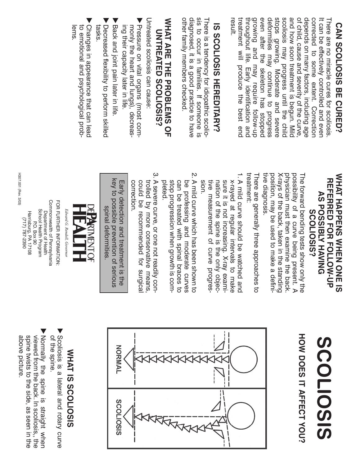## **CAN SCOLIOSIS BE CURED? CAN SCOLIOSIS BE CURED?**

stops growing. Moderate and severe and how soon treatment is begun. Mild of child, cause and severity of the curve depends on many factors, including age corrected to some extent. Correction result. treatment will produce the best end growing and may require follow-up even after the skeleton has stopped deformities may continue to progress scoliosis may progress until the child It can be effectively controlled and ever treatment will produce the best end throughout life. Early identification and throughout life. Early identification and growing and may require follow-up even after the skeleton has stopped deformities may continue to progress stops growing. Moderate and severe scoliosis may progress until the child and how soon treatment is begun. Mild of child, cause and severity of the curve, depends on many factors, including age corrected to some extent. Correction There are no miracle cures for scoliosis There are no miracle cures for scoliosis. It can be effectively controlled and even

# IS SCOLIOSIS HEREDITARY? **IS SCOLIOSIS HEREDITARY?**

other family members checked. diagnosed, it is a good practice to have sis to occur in families. If someone is other family members checked. diagnosed, it is a good practice to have sis to occur in families. If someone is There is a tendency for idiopathic scolio-There is a tendency for idiopathic scolio-

#### WHAT ARE THE PROBLEMS OF **WHAT ARE THE PROBLEMS OF** UNTREATED SCOLIOSIS? **UNTREATED SCOLIOSIS?**

Untreated scoliosis can cause: Untreated scoliosis can cause:

- Pressure on vital organs (most commonly the heart and lungs), decreas ing their capacity later in life. ing their capacity later in life. monly the heart and lungs), decreas-Pressure on vital organs (most com-
- Back and joint pain later in life. Back and joint pain later in life.
- ► Decreased flexibility to perform skilled tasks. Decreased flexibility to perform skilled
- $\blacktriangledown$ lems. to emotional and psychological probto emotional and psychological prob-Changes in appearance that can lead

#### **NHAT HAPPENS WHEN ONE IS WHAT HAPPENS WHEN ONE IS REERRED FOR FOLLOW-CA REFERRED FOR FOLLOW-UP AS POSSIBLY HAVING AS POSSIBLY HAVING SCOLIOSIS? SCOLIOSIS?**

tive diagnosis. tive diagnosis. position, may be used to make a defini-X-rays of the back, taken in the standing physician must then examine the back. possibility of a curve being present. A The forward bending tests show only the position, may be used to make a defini-X-rays of the back, taken in the standing physician must then examine the back. possibility of a curve being present. A The forward bending tests show only the

treatment: treatment: There are generally three approaches to There are generally three approaches to

- 1. A mild curve should be watched and tive measurement of curve progres<br>sion. sure it is not increasing. X-ray examix-rayed at regular intervals to make nation of the spine is the only objec A mild curve should be watched and tive measurement of curve progresnation of the spine is the only objecsure it is not increasing. X-ray examix-rayed at regular intervals to make
- 2. A mild curve which has been shown tc stop progression when growth is com-<br>pleted. can be treated with spinal braces to be professing and moderate curves A mild curve which has been shown to stop progression when growth is comcan be treated with spinal braces to be professing and moderate curves
- 3. A severe curve, or one not readily con trolled by more conservative means correction. could be recommended for surgica A severe curve, or one not readily controlled by more conservative means,<br>could be recommended for surgical<br>correction.

key to possible prevention of serious key to possible prevention of serious Early detection and treatment is the Early detection and treatment is the spinal deformities. spinal deformities.



Edward G. Rendell, Governor

Commonwealth of Pennsylvania FOR FURTHER INFORMATION: Commonwealth of Pennsylvania FOR FURTHER INFORMATION: School Health Program School Health Program Harrisburg, PA 17108 Department of Health Harrisburg, PA 17108 Department of Health (717) 787-2390 (717) 787-2390 **P.O. Box 90** P.O. Box 90

H307.001 (Rev. 3/03)

H307.001 (Rev. 3/03)

## **SISOITOS SCOLIOSIS**

HOW DOES IT AFFECT YOU? **HOW DOES IT AFFECT YOU?**



### WHAT IS SCOLIOSIS **WHAT IS SCOLIOSIS**

- $\blacktriangledown$ of the spine. of the spine. Scoliosis is a lateral and rotary curve
- Normally the spine is straight when viewed from the back. In scollosis,, the above picture. spine twists to the side, as seen in the above picture. spine twists to the side, as seen in the viewed from the back. In scoliosis,, the Normally the spine is straight when